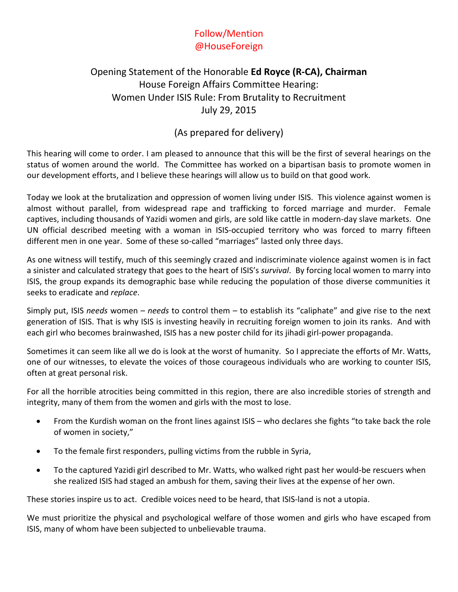## Follow/Mention @HouseForeign

## Opening Statement of the Honorable **Ed Royce (R-CA), Chairman** House Foreign Affairs Committee Hearing: Women Under ISIS Rule: From Brutality to Recruitment July 29, 2015

## (As prepared for delivery)

This hearing will come to order. I am pleased to announce that this will be the first of several hearings on the status of women around the world. The Committee has worked on a bipartisan basis to promote women in our development efforts, and I believe these hearings will allow us to build on that good work.

Today we look at the brutalization and oppression of women living under ISIS. This violence against women is almost without parallel, from widespread rape and trafficking to forced marriage and murder. Female captives, including thousands of Yazidi women and girls, are sold like cattle in modern-day slave markets. One UN official described meeting with a woman in ISIS-occupied territory who was forced to marry fifteen different men in one year. Some of these so-called "marriages" lasted only three days.

As one witness will testify, much of this seemingly crazed and indiscriminate violence against women is in fact a sinister and calculated strategy that goes to the heart of ISIS's *survival*. By forcing local women to marry into ISIS, the group expands its demographic base while reducing the population of those diverse communities it seeks to eradicate and *replace*.

Simply put, ISIS *needs* women – *needs* to control them – to establish its "caliphate" and give rise to the next generation of ISIS. That is why ISIS is investing heavily in recruiting foreign women to join its ranks. And with each girl who becomes brainwashed, ISIS has a new poster child for its jihadi girl-power propaganda.

Sometimes it can seem like all we do is look at the worst of humanity. So I appreciate the efforts of Mr. Watts, one of our witnesses, to elevate the voices of those courageous individuals who are working to counter ISIS, often at great personal risk.

For all the horrible atrocities being committed in this region, there are also incredible stories of strength and integrity, many of them from the women and girls with the most to lose.

- From the Kurdish woman on the front lines against ISIS who declares she fights "to take back the role of women in society,"
- To the female first responders, pulling victims from the rubble in Syria,
- To the captured Yazidi girl described to Mr. Watts, who walked right past her would-be rescuers when she realized ISIS had staged an ambush for them, saving their lives at the expense of her own.

These stories inspire us to act. Credible voices need to be heard, that ISIS-land is not a utopia.

We must prioritize the physical and psychological welfare of those women and girls who have escaped from ISIS, many of whom have been subjected to unbelievable trauma.